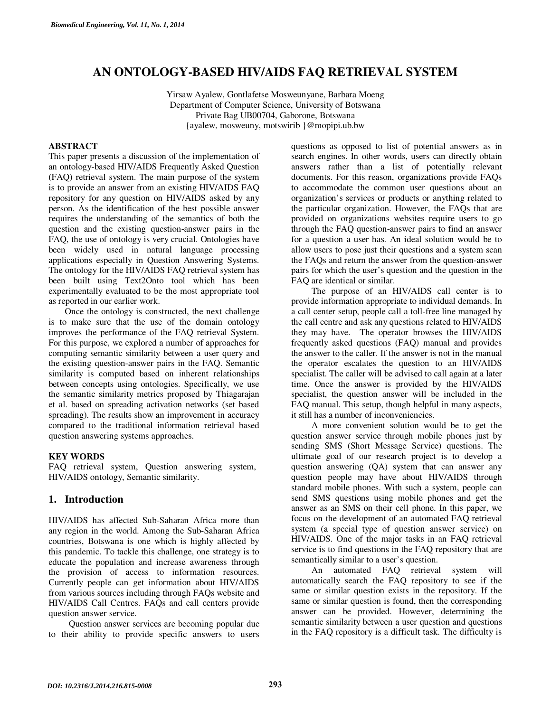# **AN ONTOLOGY-BASED HIV/AIDS FAQ RETRIEVAL SYSTEM**

Yirsaw Ayalew, Gontlafetse Mosweunyane, Barbara Moeng Department of Computer Science, University of Botswana Private Bag UB00704, Gaborone, Botswana {ayalew, mosweuny, motswirib }@mopipi.ub.bw

#### **ABSTRACT**

This paper presents a discussion of the implementation of an ontology-based HIV/AIDS Frequently Asked Question (FAQ) retrieval system. The main purpose of the system is to provide an answer from an existing HIV/AIDS FAQ repository for any question on HIV/AIDS asked by any person. As the identification of the best possible answer requires the understanding of the semantics of both the question and the existing question-answer pairs in the FAQ, the use of ontology is very crucial. Ontologies have been widely used in natural language processing applications especially in Question Answering Systems. The ontology for the HIV/AIDS FAQ retrieval system has been built using Text2Onto tool which has been experimentally evaluated to be the most appropriate tool as reported in our earlier work.

Once the ontology is constructed, the next challenge is to make sure that the use of the domain ontology improves the performance of the FAQ retrieval System. For this purpose, we explored a number of approaches for computing semantic similarity between a user query and the existing question-answer pairs in the FAQ. Semantic similarity is computed based on inherent relationships between concepts using ontologies. Specifically, we use the semantic similarity metrics proposed by Thiagarajan et al. based on spreading activation networks (set based spreading). The results show an improvement in accuracy compared to the traditional information retrieval based question answering systems approaches.

## **KEY WORDS**

FAQ retrieval system, Question answering system, HIV/AIDS ontology, Semantic similarity.

## **1. Introduction**

HIV/AIDS has affected Sub-Saharan Africa more than any region in the world. Among the Sub-Saharan Africa countries, Botswana is one which is highly affected by this pandemic. To tackle this challenge, one strategy is to educate the population and increase awareness through the provision of access to information resources. Currently people can get information about HIV/AIDS from various sources including through FAQs website and HIV/AIDS Call Centres. FAQs and call centers provide question answer service.

Question answer services are becoming popular due to their ability to provide specific answers to users questions as opposed to list of potential answers as in search engines. In other words, users can directly obtain answers rather than a list of potentially relevant documents. For this reason, organizations provide FAQs to accommodate the common user questions about an organization's services or products or anything related to the particular organization. However, the FAQs that are provided on organizations websites require users to go through the FAQ question-answer pairs to find an answer for a question a user has. An ideal solution would be to allow users to pose just their questions and a system scan the FAQs and return the answer from the question-answer pairs for which the user's question and the question in the FAQ are identical or similar.

The purpose of an HIV/AIDS call center is to provide information appropriate to individual demands. In a call center setup, people call a toll-free line managed by the call centre and ask any questions related to HIV/AIDS they may have. The operator browses the HIV/AIDS frequently asked questions (FAQ) manual and provides the answer to the caller. If the answer is not in the manual the operator escalates the question to an HIV/AIDS specialist. The caller will be advised to call again at a later time. Once the answer is provided by the HIV/AIDS specialist, the question answer will be included in the FAQ manual. This setup, though helpful in many aspects, it still has a number of inconveniencies.

A more convenient solution would be to get the question answer service through mobile phones just by sending SMS (Short Message Service) questions. The ultimate goal of our research project is to develop a question answering (QA) system that can answer any question people may have about HIV/AIDS through standard mobile phones. With such a system, people can send SMS questions using mobile phones and get the answer as an SMS on their cell phone. In this paper, we focus on the development of an automated FAQ retrieval system (a special type of question answer service) on HIV/AIDS. One of the major tasks in an FAQ retrieval service is to find questions in the FAQ repository that are semantically similar to a user's question.

An automated FAQ retrieval system will automatically search the FAQ repository to see if the same or similar question exists in the repository. If the same or similar question is found, then the corresponding answer can be provided. However, determining the semantic similarity between a user question and questions in the FAQ repository is a difficult task. The difficulty is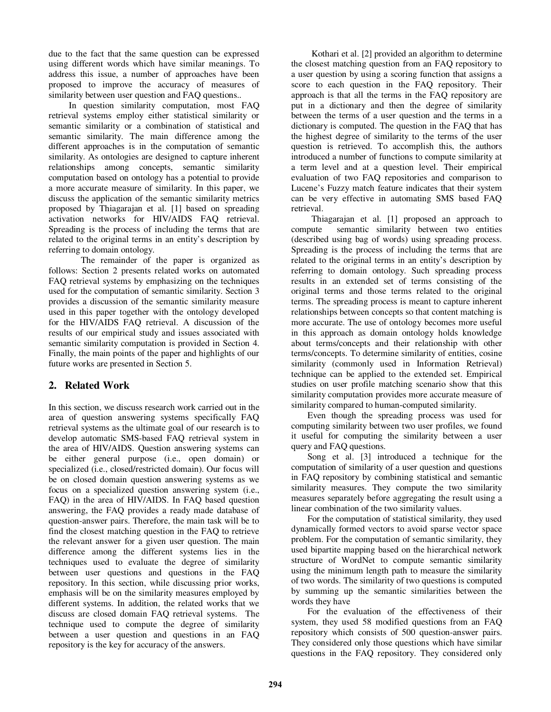due to the fact that the same question can be expressed using different words which have similar meanings. To address this issue, a number of approaches have been proposed to improve the accuracy of measures of similarity between user question and FAQ questions..

In question similarity computation, most FAQ retrieval systems employ either statistical similarity or semantic similarity or a combination of statistical and semantic similarity. The main difference among the different approaches is in the computation of semantic similarity. As ontologies are designed to capture inherent relationships among concepts, semantic similarity computation based on ontology has a potential to provide a more accurate measure of similarity. In this paper, we discuss the application of the semantic similarity metrics proposed by Thiagarajan et al. [1] based on spreading activation networks for HIV/AIDS FAQ retrieval. Spreading is the process of including the terms that are related to the original terms in an entity's description by referring to domain ontology.

The remainder of the paper is organized as follows: Section 2 presents related works on automated FAQ retrieval systems by emphasizing on the techniques used for the computation of semantic similarity. Section 3 provides a discussion of the semantic similarity measure used in this paper together with the ontology developed for the HIV/AIDS FAQ retrieval. A discussion of the results of our empirical study and issues associated with semantic similarity computation is provided in Section 4. Finally, the main points of the paper and highlights of our future works are presented in Section 5.

## **2. Related Work**

In this section, we discuss research work carried out in the area of question answering systems specifically FAQ retrieval systems as the ultimate goal of our research is to develop automatic SMS-based FAQ retrieval system in the area of HIV/AIDS. Question answering systems can be either general purpose (i.e., open domain) or specialized (i.e., closed/restricted domain). Our focus will be on closed domain question answering systems as we focus on a specialized question answering system (i.e., FAQ) in the area of HIV/AIDS. In FAQ based question answering, the FAQ provides a ready made database of question-answer pairs. Therefore, the main task will be to find the closest matching question in the FAQ to retrieve the relevant answer for a given user question. The main difference among the different systems lies in the techniques used to evaluate the degree of similarity between user questions and questions in the FAQ repository. In this section, while discussing prior works, emphasis will be on the similarity measures employed by different systems. In addition, the related works that we discuss are closed domain FAQ retrieval systems. The technique used to compute the degree of similarity between a user question and questions in an FAQ repository is the key for accuracy of the answers.

Kothari et al. [2] provided an algorithm to determine the closest matching question from an FAQ repository to a user question by using a scoring function that assigns a score to each question in the FAQ repository. Their approach is that all the terms in the FAQ repository are put in a dictionary and then the degree of similarity between the terms of a user question and the terms in a dictionary is computed. The question in the FAQ that has the highest degree of similarity to the terms of the user question is retrieved. To accomplish this, the authors introduced a number of functions to compute similarity at a term level and at a question level. Their empirical evaluation of two FAQ repositories and comparison to Lucene's Fuzzy match feature indicates that their system can be very effective in automating SMS based FAQ retrieval.

Thiagarajan et al. [1] proposed an approach to compute semantic similarity between two entities (described using bag of words) using spreading process. Spreading is the process of including the terms that are related to the original terms in an entity's description by referring to domain ontology. Such spreading process results in an extended set of terms consisting of the original terms and those terms related to the original terms. The spreading process is meant to capture inherent relationships between concepts so that content matching is more accurate. The use of ontology becomes more useful in this approach as domain ontology holds knowledge about terms/concepts and their relationship with other terms/concepts. To determine similarity of entities, cosine similarity (commonly used in Information Retrieval) technique can be applied to the extended set. Empirical studies on user profile matching scenario show that this similarity computation provides more accurate measure of similarity compared to human-computed similarity.

 Even though the spreading process was used for computing similarity between two user profiles, we found it useful for computing the similarity between a user query and FAQ questions.

Song et al. [3] introduced a technique for the computation of similarity of a user question and questions in FAQ repository by combining statistical and semantic similarity measures. They compute the two similarity measures separately before aggregating the result using a linear combination of the two similarity values.

For the computation of statistical similarity, they used dynamically formed vectors to avoid sparse vector space problem. For the computation of semantic similarity, they used bipartite mapping based on the hierarchical network structure of WordNet to compute semantic similarity using the minimum length path to measure the similarity of two words. The similarity of two questions is computed by summing up the semantic similarities between the words they have

For the evaluation of the effectiveness of their system, they used 58 modified questions from an FAQ repository which consists of 500 question-answer pairs. They considered only those questions which have similar questions in the FAQ repository. They considered only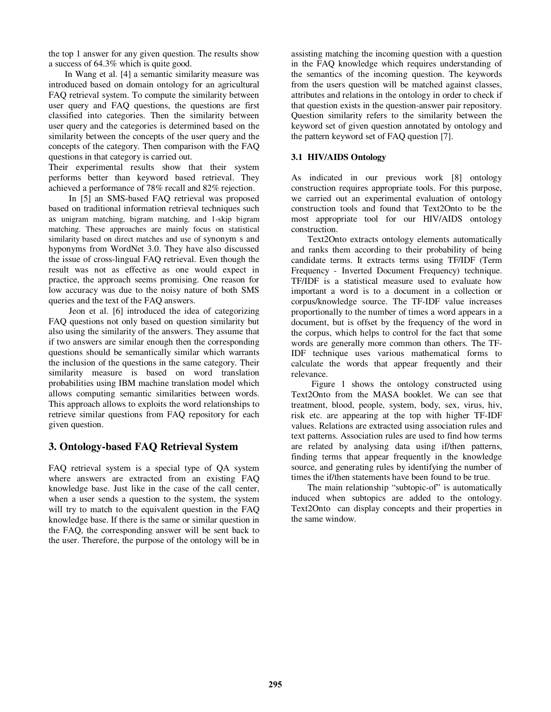the top 1 answer for any given question. The results show a success of 64.3% which is quite good.

 In Wang et al. [4] a semantic similarity measure was introduced based on domain ontology for an agricultural FAQ retrieval system. To compute the similarity between user query and FAQ questions, the questions are first classified into categories. Then the similarity between user query and the categories is determined based on the similarity between the concepts of the user query and the concepts of the category. Then comparison with the FAQ questions in that category is carried out.

Their experimental results show that their system performs better than keyword based retrieval. They achieved a performance of 78% recall and 82% rejection.

In [5] an SMS-based FAQ retrieval was proposed based on traditional information retrieval techniques such as unigram matching, bigram matching, and 1-skip bigram matching. These approaches are mainly focus on statistical similarity based on direct matches and use of synonym s and hyponyms from WordNet 3.0. They have also discussed the issue of cross-lingual FAQ retrieval. Even though the result was not as effective as one would expect in practice, the approach seems promising. One reason for low accuracy was due to the noisy nature of both SMS queries and the text of the FAQ answers.

Jeon et al. [6] introduced the idea of categorizing FAQ questions not only based on question similarity but also using the similarity of the answers. They assume that if two answers are similar enough then the corresponding questions should be semantically similar which warrants the inclusion of the questions in the same category. Their similarity measure is based on word translation probabilities using IBM machine translation model which allows computing semantic similarities between words. This approach allows to exploits the word relationships to retrieve similar questions from FAQ repository for each given question.

## **3. Ontology-based FAQ Retrieval System**

FAQ retrieval system is a special type of QA system where answers are extracted from an existing FAQ knowledge base. Just like in the case of the call center, when a user sends a question to the system, the system will try to match to the equivalent question in the FAQ knowledge base. If there is the same or similar question in the FAQ, the corresponding answer will be sent back to the user. Therefore, the purpose of the ontology will be in

assisting matching the incoming question with a question in the FAQ knowledge which requires understanding of the semantics of the incoming question. The keywords from the users question will be matched against classes, attributes and relations in the ontology in order to check if that question exists in the question-answer pair repository. Question similarity refers to the similarity between the keyword set of given question annotated by ontology and the pattern keyword set of FAQ question [7].

#### **3.1 HIV/AIDS Ontology**

As indicated in our previous work [8] ontology construction requires appropriate tools. For this purpose, we carried out an experimental evaluation of ontology construction tools and found that Text2Onto to be the most appropriate tool for our HIV/AIDS ontology construction.

Text2Onto extracts ontology elements automatically and ranks them according to their probability of being candidate terms. It extracts terms using TF/IDF (Term Frequency - Inverted Document Frequency) technique. TF/IDF is a statistical measure used to evaluate how important a word is to a document in a collection or corpus/knowledge source. The TF-IDF value increases proportionally to the number of times a word appears in a document, but is offset by the frequency of the word in the corpus, which helps to control for the fact that some words are generally more common than others. The TF-IDF technique uses various mathematical forms to calculate the words that appear frequently and their relevance.

Figure 1 shows the ontology constructed using Text2Onto from the MASA booklet. We can see that treatment, blood, people, system, body, sex, virus, hiv, risk etc. are appearing at the top with higher TF-IDF values. Relations are extracted using association rules and text patterns. Association rules are used to find how terms are related by analysing data using if/then patterns, finding terms that appear frequently in the knowledge source, and generating rules by identifying the number of times the if/then statements have been found to be true.

The main relationship "subtopic-of" is automatically induced when subtopics are added to the ontology. Text2Onto can display concepts and their properties in the same window.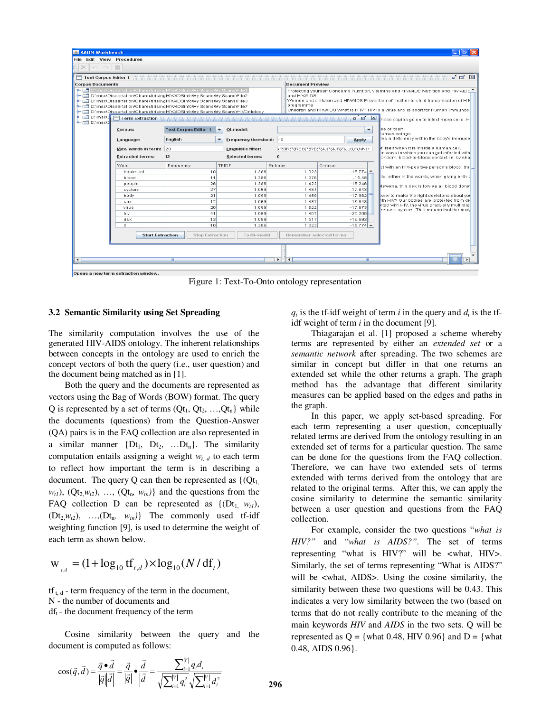

Figure 1: Text-To-Onto ontology representation

#### **3.2 Semantic Similarity using Set Spreading**

The similarity computation involves the use of the generated HIV-AIDS ontology. The inherent relationships between concepts in the ontology are used to enrich the concept vectors of both the query (i.e., user question) and the document being matched as in [1].

Both the query and the documents are represented as vectors using the Bag of Words (BOW) format. The query Q is represented by a set of terms  $(Qt<sub>1</sub>, Qt<sub>2</sub>, ..., Qt<sub>n</sub>)$  while the documents (questions) from the Question-Answer (QA) pairs is in the FAQ collection are also represented in a similar manner  $\{Dt_1, Dt_2, ...Dt_n\}$ . The similarity computation entails assigning a weight  $w_t$  *d* to each term to reflect how important the term is in describing a document. The query Q can then be represented as  $\{Q_t\}$  $w_{t1}$ ,  $(Qt_2w_{t2})$ , …,  $(Qt_n, w_{tn})$  and the questions from the FAQ collection D can be represented as  $\{(\text{Dt}_1, w_t),$  $(Dt_2, w_1, \ldots, (Dt_n, w_m)]$  The commonly used tf-idf weighting function [9], is used to determine the weight of each term as shown below.

$$
w_{i,d} = (1 + \log_{10} t f_{i,d}) \times \log_{10} (N / df_i)
$$

 $tf_{t, d}$  - term frequency of the term in the document, N - the number of documents and  $df_t$  - the document frequency of the term

Cosine similarity between the query and the document is computed as follows:

 $q_i$  is the tf-idf weight of term *i* in the query and  $d_i$  is the tfidf weight of term *i* in the document [9].

Thiagarajan et al. [1] proposed a scheme whereby terms are represented by either an *extended set* or a *semantic network* after spreading. The two schemes are similar in concept but differ in that one returns an extended set while the other returns a graph. The graph method has the advantage that different similarity measures can be applied based on the edges and paths in the graph.

In this paper, we apply set-based spreading. For each term representing a user question, conceptually related terms are derived from the ontology resulting in an extended set of terms for a particular question. The same can be done for the questions from the FAQ collection. Therefore, we can have two extended sets of terms extended with terms derived from the ontology that are related to the original terms. After this, we can apply the cosine similarity to determine the semantic similarity between a user question and questions from the FAQ collection.

For example, consider the two questions "*what is HIV?"* and "*what is AIDS?"*. The set of terms representing "what is HIV?" will be <what, HIV>. Similarly, the set of terms representing "What is AIDS?" will be <what, AIDS>. Using the cosine similarity, the similarity between these two questions will be 0.43. This indicates a very low similarity between the two (based on terms that do not really contribute to the meaning of the main keywords *HIV* and *AIDS* in the two sets. Q will be represented as  $Q = \{\text{what } 0.48, HIV } 0.96\}$  and  $D = \{\text{what }$ 0.48, AIDS 0.96}.

$$
\cos(\vec{q}, \vec{d}) = \frac{\vec{q} \cdot \vec{d}}{|\vec{q}||\vec{d}|} = \frac{\vec{q}}{|\vec{q}|} \cdot \frac{\vec{d}}{|\vec{d}|} = \frac{\sum_{i=1}^{|V|} q_i d_i}{\sqrt{\sum_{i=1}^{|V|} q_i^2} \sqrt{\sum_{i=1}^{|V|} d_i^2}}
$$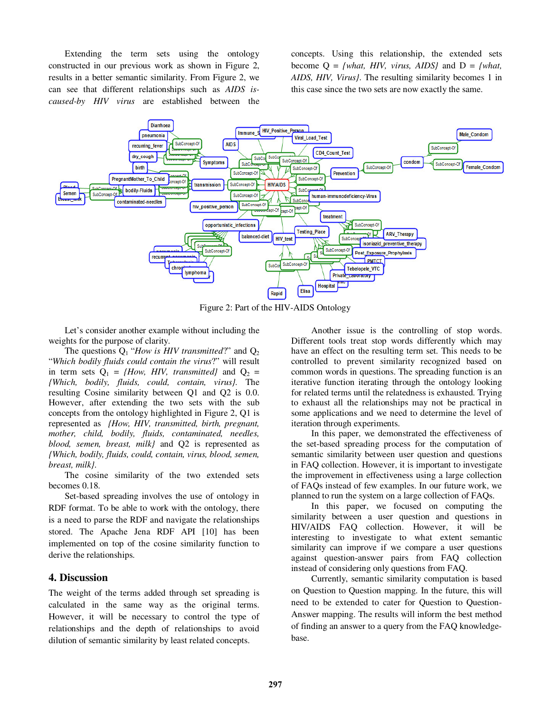Extending the term sets using the ontology constructed in our previous work as shown in Figure 2, results in a better semantic similarity. From Figure 2, we can see that different relationships such as *AIDS iscaused-by HIV virus* are established between the

concepts. Using this relationship, the extended sets become  $Q = \{what, HIV, virus, AIDS\}$  and  $D = \{what,$ *AIDS, HIV, Virus}*. The resulting similarity becomes 1 in this case since the two sets are now exactly the same.



Figure 2: Part of the HIV-AIDS Ontology

Let's consider another example without including the weights for the purpose of clarity.

The questions  $Q_1$  "*How is HIV transmitted*?" and  $Q_2$ "*Which bodily fluids could contain the virus*?" will result in term sets  $Q_1 = \{How, HIV, transmitted\}$  and  $Q_2 =$ *{Which, bodily, fluids, could, contain, virus}.* The resulting Cosine similarity between Q1 and Q2 is 0.0. However, after extending the two sets with the sub concepts from the ontology highlighted in Figure 2, Q1 is represented as *{How, HIV, transmitted, birth, pregnant, mother, child, bodily, fluids, contaminated, needles, blood, semen, breast, milk}* and Q2 is represented as *{Which, bodily, fluids, could, contain, virus, blood, semen, breast, milk}.* 

The cosine similarity of the two extended sets becomes 0.18.

Set-based spreading involves the use of ontology in RDF format. To be able to work with the ontology, there is a need to parse the RDF and navigate the relationships stored. The Apache Jena RDF API [10] has been implemented on top of the cosine similarity function to derive the relationships.

## **4. Discussion**

The weight of the terms added through set spreading is calculated in the same way as the original terms. However, it will be necessary to control the type of relationships and the depth of relationships to avoid dilution of semantic similarity by least related concepts.

Another issue is the controlling of stop words. Different tools treat stop words differently which may have an effect on the resulting term set. This needs to be controlled to prevent similarity recognized based on common words in questions. The spreading function is an iterative function iterating through the ontology looking for related terms until the relatedness is exhausted. Trying to exhaust all the relationships may not be practical in some applications and we need to determine the level of iteration through experiments.

In this paper, we demonstrated the effectiveness of the set-based spreading process for the computation of semantic similarity between user question and questions in FAQ collection. However, it is important to investigate the improvement in effectiveness using a large collection of FAQs instead of few examples. In our future work, we planned to run the system on a large collection of FAQs.

In this paper, we focused on computing the similarity between a user question and questions in HIV/AIDS FAQ collection. However, it will be interesting to investigate to what extent semantic similarity can improve if we compare a user questions against question-answer pairs from FAQ collection instead of considering only questions from FAQ.

Currently, semantic similarity computation is based on Question to Question mapping. In the future, this will need to be extended to cater for Question to Question-Answer mapping. The results will inform the best method of finding an answer to a query from the FAQ knowledgebase.